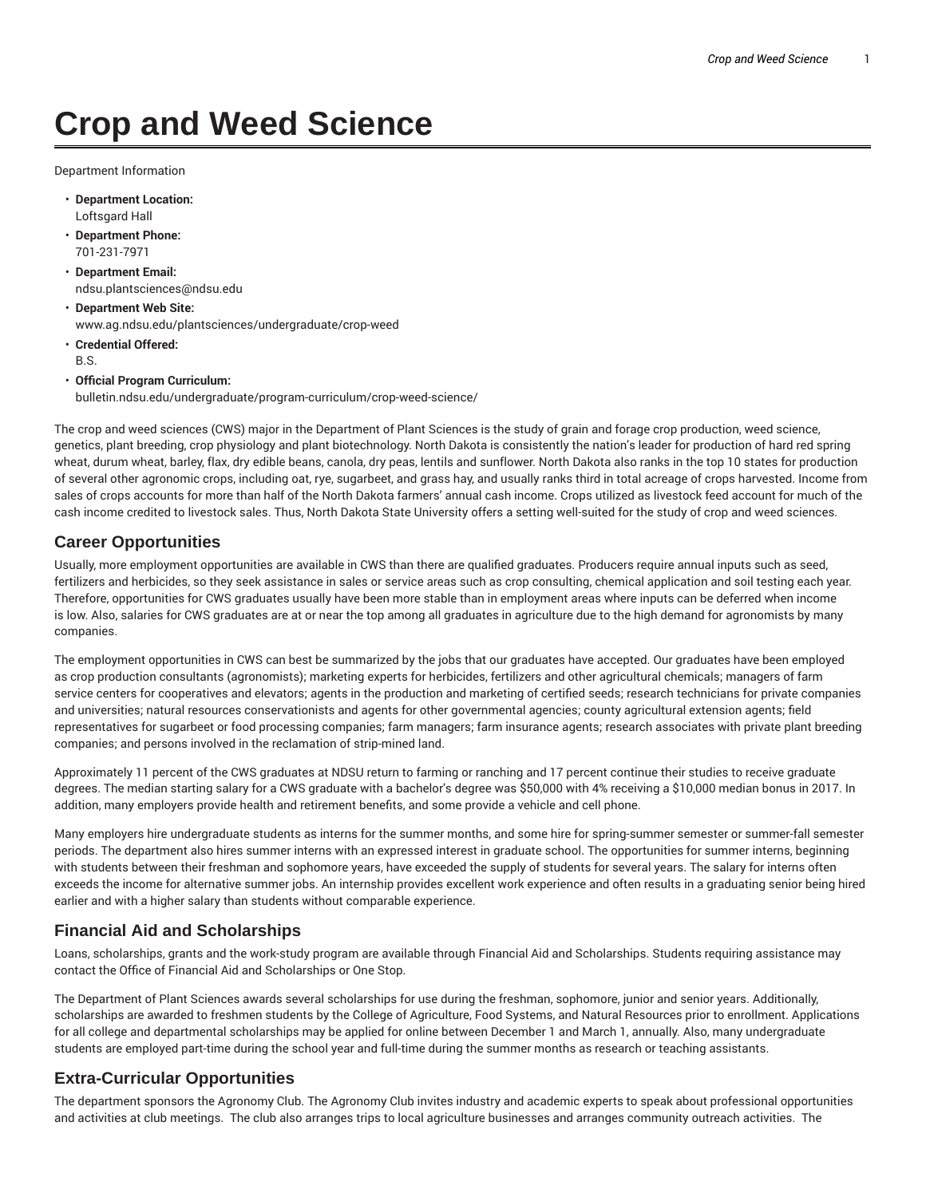# **Crop and Weed Science**

Department Information

- **Department Location:** Loftsgard Hall
- **Department Phone:** 701-231-7971
- **Department Email:** ndsu.plantsciences@ndsu.edu
- **Department Web Site:** www.ag.ndsu.edu/plantsciences/undergraduate/crop-weed
- **Credential Offered:** B.S.
- **Official Program Curriculum:** bulletin.ndsu.edu/undergraduate/program-curriculum/crop-weed-science/

The crop and weed sciences (CWS) major in the Department of Plant Sciences is the study of grain and forage crop production, weed science, genetics, plant breeding, crop physiology and plant biotechnology. North Dakota is consistently the nation's leader for production of hard red spring wheat, durum wheat, barley, flax, dry edible beans, canola, dry peas, lentils and sunflower. North Dakota also ranks in the top 10 states for production of several other agronomic crops, including oat, rye, sugarbeet, and grass hay, and usually ranks third in total acreage of crops harvested. Income from sales of crops accounts for more than half of the North Dakota farmers' annual cash income. Crops utilized as livestock feed account for much of the cash income credited to livestock sales. Thus, North Dakota State University offers a setting well-suited for the study of crop and weed sciences.

#### **Career Opportunities**

Usually, more employment opportunities are available in CWS than there are qualified graduates. Producers require annual inputs such as seed, fertilizers and herbicides, so they seek assistance in sales or service areas such as crop consulting, chemical application and soil testing each year. Therefore, opportunities for CWS graduates usually have been more stable than in employment areas where inputs can be deferred when income is low. Also, salaries for CWS graduates are at or near the top among all graduates in agriculture due to the high demand for agronomists by many companies.

The employment opportunities in CWS can best be summarized by the jobs that our graduates have accepted. Our graduates have been employed as crop production consultants (agronomists); marketing experts for herbicides, fertilizers and other agricultural chemicals; managers of farm service centers for cooperatives and elevators; agents in the production and marketing of certified seeds; research technicians for private companies and universities; natural resources conservationists and agents for other governmental agencies; county agricultural extension agents; field representatives for sugarbeet or food processing companies; farm managers; farm insurance agents; research associates with private plant breeding companies; and persons involved in the reclamation of strip-mined land.

Approximately 11 percent of the CWS graduates at NDSU return to farming or ranching and 17 percent continue their studies to receive graduate degrees. The median starting salary for a CWS graduate with a bachelor's degree was \$50,000 with 4% receiving a \$10,000 median bonus in 2017. In addition, many employers provide health and retirement benefits, and some provide a vehicle and cell phone.

Many employers hire undergraduate students as interns for the summer months, and some hire for spring-summer semester or summer-fall semester periods. The department also hires summer interns with an expressed interest in graduate school. The opportunities for summer interns, beginning with students between their freshman and sophomore years, have exceeded the supply of students for several years. The salary for interns often exceeds the income for alternative summer jobs. An internship provides excellent work experience and often results in a graduating senior being hired earlier and with a higher salary than students without comparable experience.

### **Financial Aid and Scholarships**

Loans, scholarships, grants and the work-study program are available through Financial Aid and Scholarships. Students requiring assistance may contact the Office of Financial Aid and Scholarships or One Stop.

The Department of Plant Sciences awards several scholarships for use during the freshman, sophomore, junior and senior years. Additionally, scholarships are awarded to freshmen students by the College of Agriculture, Food Systems, and Natural Resources prior to enrollment. Applications for all college and departmental scholarships may be applied for online between December 1 and March 1, annually. Also, many undergraduate students are employed part-time during the school year and full-time during the summer months as research or teaching assistants.

#### **Extra-Curricular Opportunities**

The department sponsors the Agronomy Club. The Agronomy Club invites industry and academic experts to speak about professional opportunities and activities at club meetings. The club also arranges trips to local agriculture businesses and arranges community outreach activities. The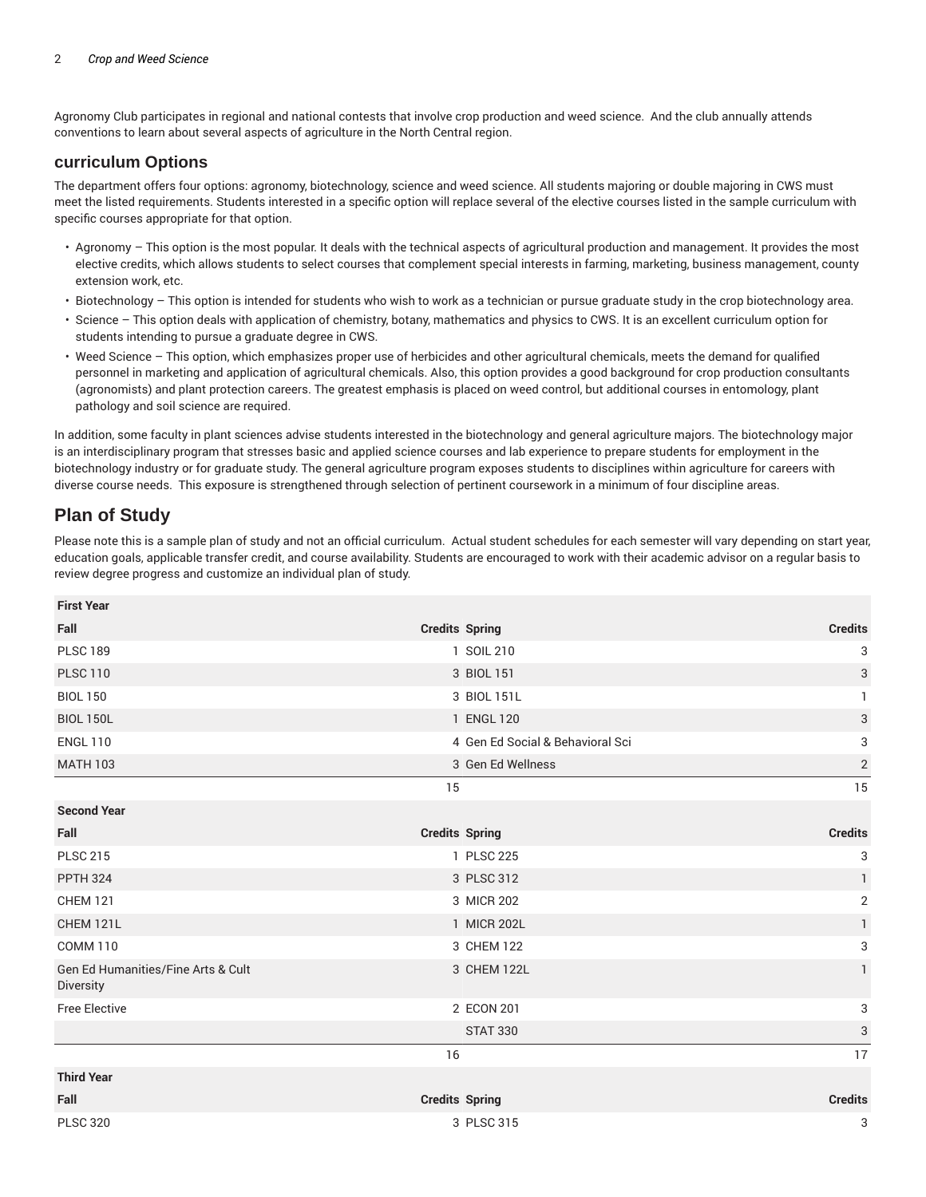Agronomy Club participates in regional and national contests that involve crop production and weed science. And the club annually attends conventions to learn about several aspects of agriculture in the North Central region.

#### **curriculum Options**

The department offers four options: agronomy, biotechnology, science and weed science. All students majoring or double majoring in CWS must meet the listed requirements. Students interested in a specific option will replace several of the elective courses listed in the sample curriculum with specific courses appropriate for that option.

- Agronomy This option is the most popular. It deals with the technical aspects of agricultural production and management. It provides the most elective credits, which allows students to select courses that complement special interests in farming, marketing, business management, county extension work, etc.
- Biotechnology This option is intended for students who wish to work as a technician or pursue graduate study in the crop biotechnology area.
- Science This option deals with application of chemistry, botany, mathematics and physics to CWS. It is an excellent curriculum option for students intending to pursue a graduate degree in CWS.
- Weed Science This option, which emphasizes proper use of herbicides and other agricultural chemicals, meets the demand for qualified personnel in marketing and application of agricultural chemicals. Also, this option provides a good background for crop production consultants (agronomists) and plant protection careers. The greatest emphasis is placed on weed control, but additional courses in entomology, plant pathology and soil science are required.

In addition, some faculty in plant sciences advise students interested in the biotechnology and general agriculture majors. The biotechnology major is an interdisciplinary program that stresses basic and applied science courses and lab experience to prepare students for employment in the biotechnology industry or for graduate study. The general agriculture program exposes students to disciplines within agriculture for careers with diverse course needs. This exposure is strengthened through selection of pertinent coursework in a minimum of four discipline areas.

## **Plan of Study**

Please note this is a sample plan of study and not an official curriculum. Actual student schedules for each semester will vary depending on start year, education goals, applicable transfer credit, and course availability. Students are encouraged to work with their academic advisor on a regular basis to review degree progress and customize an individual plan of study.

| <b>First Year</b>                               |                       |                                  |                           |
|-------------------------------------------------|-----------------------|----------------------------------|---------------------------|
| Fall                                            | <b>Credits Spring</b> |                                  | <b>Credits</b>            |
| <b>PLSC 189</b>                                 |                       | 1 SOIL 210                       | 3                         |
| <b>PLSC 110</b>                                 |                       | 3 BIOL 151                       | $\sqrt{3}$                |
| <b>BIOL 150</b>                                 |                       | 3 BIOL 151L                      |                           |
| <b>BIOL 150L</b>                                |                       | 1 ENGL 120                       | $\sqrt{3}$                |
| <b>ENGL 110</b>                                 |                       | 4 Gen Ed Social & Behavioral Sci | $\ensuremath{\mathsf{3}}$ |
| <b>MATH 103</b>                                 |                       | 3 Gen Ed Wellness                | $\overline{2}$            |
|                                                 | 15                    |                                  | 15                        |
| <b>Second Year</b>                              |                       |                                  |                           |
| Fall                                            | <b>Credits Spring</b> |                                  | <b>Credits</b>            |
| <b>PLSC 215</b>                                 |                       | 1 PLSC 225                       | 3                         |
| <b>PPTH 324</b>                                 |                       | 3 PLSC 312                       | $\mathbf{1}$              |
| <b>CHEM 121</b>                                 |                       | 3 MICR 202                       | $\overline{2}$            |
| <b>CHEM 121L</b>                                |                       | 1 MICR 202L                      | 1                         |
| <b>COMM 110</b>                                 |                       | 3 CHEM 122                       | $\ensuremath{\mathsf{3}}$ |
| Gen Ed Humanities/Fine Arts & Cult<br>Diversity |                       | 3 CHEM 122L                      | $\mathbf{1}$              |
| <b>Free Elective</b>                            |                       | 2 ECON 201                       | 3                         |
|                                                 |                       | <b>STAT 330</b>                  | 3                         |
|                                                 | 16                    |                                  | 17                        |
| <b>Third Year</b>                               |                       |                                  |                           |
| Fall                                            | <b>Credits Spring</b> |                                  | <b>Credits</b>            |
| <b>PLSC 320</b>                                 |                       | 3 PLSC 315                       | 3                         |